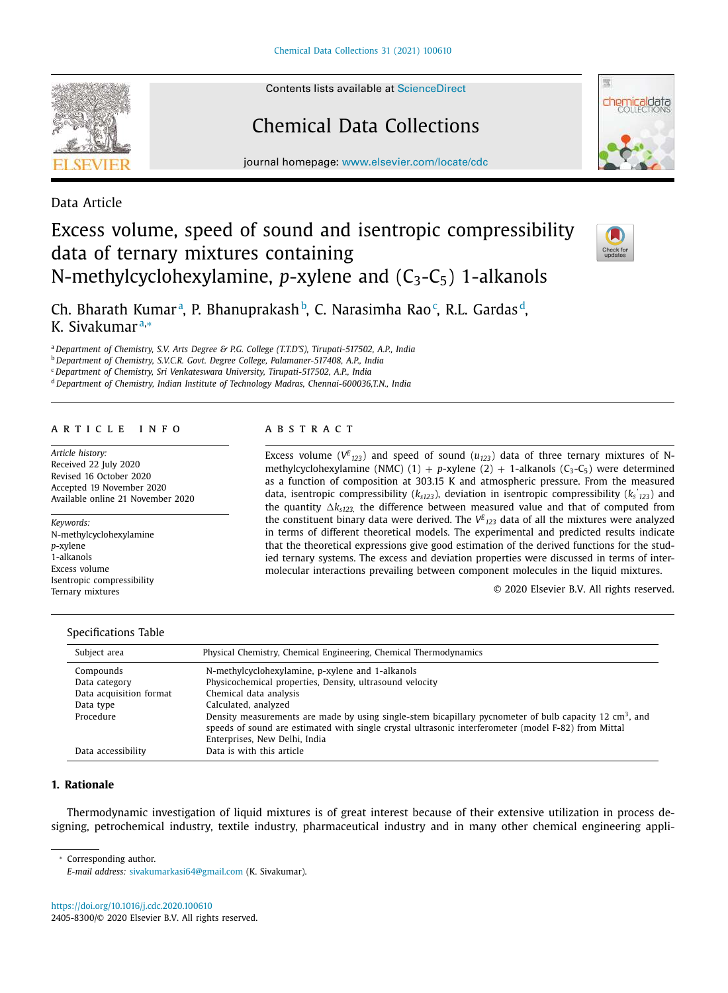Contents lists available at ScienceDirect

# Chemical Data Collections

journal homepage: www.elsevier.com/locate/cdc

Data Article

## Excess volume, speed of sound and isentropic compressibility data of ternary mixtures containing N-methylcyclohexylamine,  $p$ -xylene and  $(C_3-C_5)$  1-alkanols



Ch. Bharath Kumar<sup>a</sup>, P. Bhanuprakash<sup>b</sup>, C. Narasimha Rao<sup>c</sup>, R.L. Gardas<sup>d</sup>, K. Sivakumar a,<sup>∗</sup>

<sup>a</sup> *Department of Chemistry, S.V. Arts Degree & P.G. College (T.T.D'S), Tirupati-517502, A.P., India*

<sup>b</sup> *Department of Chemistry, S.V.C.R. Govt. Degree College, Palamaner-517408, A.P., India*

<sup>c</sup> *Department of Chemistry, Sri Venkateswara University, Tirupati-517502, A.P., India*

<sup>d</sup> *Department of Chemistry, Indian Institute of Technology Madras, Chennai-600036,T.N., India*

### a r t i c l e i n f o

*Article history:* Received 22 July 2020 Revised 16 October 2020 Accepted 19 November 2020 Available online 21 November 2020

*Keywords:* N-methylcyclohexylamine *p*-xylene 1-alkanols Excess volume Isentropic compressibility Ternary mixtures

## a b s t r a c t

Excess volume ( $V^{E}$ <sub>123</sub>) and speed of sound ( $u$ <sub>123</sub>) data of three ternary mixtures of Nmethylcyclohexylamine (NMC) (1) + *p*-xylene (2) + 1-alkanols ( $C_3$ - $C_5$ ) were determined as a function of composition at 303.15 K and atmospheric pressure. From the measured data, isentropic compressibility (*ks123*), deviation in isentropic compressibility (*k<sup>s</sup> ' <sup>123</sup>*) and the quantity  $\Delta k_{s123}$ , the difference between measured value and that of computed from the constituent binary data were derived. The  $V^E{}_{123}$  data of all the mixtures were analyzed in terms of different theoretical models. The experimental and predicted results indicate that the theoretical expressions give good estimation of the derived functions for the studied ternary systems. The excess and deviation properties were discussed in terms of intermolecular interactions prevailing between component molecules in the liquid mixtures.

© 2020 Elsevier B.V. All rights reserved.

#### Specifications Table

| Subject area            | Physical Chemistry, Chemical Engineering, Chemical Thermodynamics                                                                                                                                                           |
|-------------------------|-----------------------------------------------------------------------------------------------------------------------------------------------------------------------------------------------------------------------------|
| Compounds               | N-methylcyclohexylamine, p-xylene and 1-alkanols                                                                                                                                                                            |
| Data category           | Physicochemical properties, Density, ultrasound velocity                                                                                                                                                                    |
| Data acquisition format | Chemical data analysis                                                                                                                                                                                                      |
| Data type               | Calculated, analyzed                                                                                                                                                                                                        |
| Procedure               | Density measurements are made by using single-stem bicapillary pycnometer of bulb capacity 12 cm <sup>3</sup> , and<br>speeds of sound are estimated with single crystal ultrasonic interferometer (model F-82) from Mittal |
|                         | Enterprises, New Delhi, India                                                                                                                                                                                               |
| Data accessibility      | Data is with this article                                                                                                                                                                                                   |

## **1. Rationale**

Thermodynamic investigation of liquid mixtures is of great interest because of their extensive utilization in process designing, petrochemical industry, textile industry, pharmaceutical industry and in many other chemical engineering appli-

Corresponding author.

*E-mail address:* sivakumarkasi64@gmail.com (K. Sivakumar).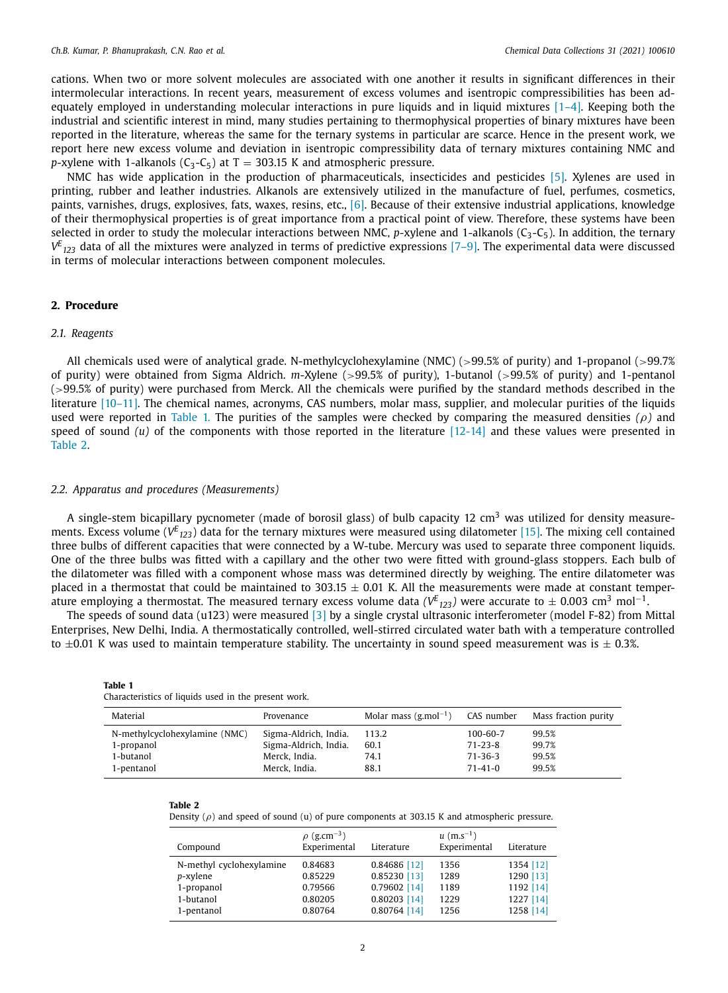cations. When two or more solvent molecules are associated with one another it results in significant differences in their intermolecular interactions. In recent years, measurement of excess volumes and isentropic compressibilities has been adequately employed in understanding molecular interactions in pure liquids and in liquid mixtures  $[1-4]$ . Keeping both the industrial and scientific interest in mind, many studies pertaining to thermophysical properties of binary mixtures have been reported in the literature, whereas the same for the ternary systems in particular are scarce. Hence in the present work, we report here new excess volume and deviation in isentropic compressibility data of ternary mixtures containing NMC and *p*-xylene with 1-alkanols ( $C_3$ - $C_5$ ) at T = 303.15 K and atmospheric pressure.

NMC has wide application in the production of pharmaceuticals, insecticides and pesticides [5]. Xylenes are used in printing, rubber and leather industries. Alkanols are extensively utilized in the manufacture of fuel, perfumes, cosmetics, paints, varnishes, drugs, explosives, fats, waxes, resins, etc., [6]. Because of their extensive industrial applications, knowledge of their thermophysical properties is of great importance from a practical point of view. Therefore, these systems have been selected in order to study the molecular interactions between NMC, *p*-xylene and 1-alkanols  $(C_3-C_5)$ . In addition, the ternary *V E <sup>123</sup>* data of all the mixtures were analyzed in terms of predictive expressions [7–9]. The experimental data were discussed in terms of molecular interactions between component molecules.

## **2. Procedure**

#### *2.1. Reagents*

All chemicals used were of analytical grade. N-methylcyclohexylamine (NMC) (>99.5% of purity) and 1-propanol (>99.7% of purity) were obtained from Sigma Aldrich. *m*-Xylene (>99.5% of purity), 1-butanol (>99.5% of purity) and 1-pentanol (>99.5% of purity) were purchased from Merck. All the chemicals were purified by the standard methods described in the literature [10–11]. The chemical names, acronyms, CAS numbers, molar mass, supplier, and molecular purities of the liquids used were reported in Table 1. The purities of the samples were checked by comparing the measured densities *(*ρ*)* and speed of sound  $(u)$  of the components with those reported in the literature  $[12-14]$  and these values were presented in Table 2.

#### *2.2. Apparatus and procedures (Measurements)*

A single-stem bicapillary pycnometer (made of borosil glass) of bulb capacity 12 cm<sup>3</sup> was utilized for density measurements. Excess volume ( $V^{E}$ <sub>123</sub>) data for the ternary mixtures were measured using dilatometer [15]. The mixing cell contained three bulbs of different capacities that were connected by a W-tube. Mercury was used to separate three component liquids. One of the three bulbs was fitted with a capillary and the other two were fitted with ground-glass stoppers. Each bulb of the dilatometer was filled with a component whose mass was determined directly by weighing. The entire dilatometer was placed in a thermostat that could be maintained to 303.15  $\pm$  0.01 K. All the measurements were made at constant temperature employing a thermostat. The measured ternary excess volume data ( $V^E{}_{123}$ ) were accurate to  $\pm$  0.003 cm<sup>3</sup> mol<sup>−1</sup>.

The speeds of sound data (u123) were measured [3] by a single crystal ultrasonic interferometer (model F-82) from Mittal Enterprises, New Delhi, India. A thermostatically controlled, well-stirred circulated water bath with a temperature controlled to  $\pm 0.01$  K was used to maintain temperature stability. The uncertainty in sound speed measurement was is  $\pm$  0.3%.

| Characteristics of liquids used in the present work. |                       |                                      |               |                      |  |  |  |  |
|------------------------------------------------------|-----------------------|--------------------------------------|---------------|----------------------|--|--|--|--|
| Material                                             | Provenance            | Molar mass $(g$ ,mol <sup>-1</sup> ) | CAS number    | Mass fraction purity |  |  |  |  |
| N-methylcyclohexylamine (NMC)                        | Sigma-Aldrich, India. | 113.2                                | 100-60-7      | 99.5%                |  |  |  |  |
| 1-propanol                                           | Sigma-Aldrich, India. | 60.1                                 | $71 - 23 - 8$ | 99.7%                |  |  |  |  |
| 1-butanol                                            | Merck, India.         | 74.1                                 | $71 - 36 - 3$ | 99.5%                |  |  |  |  |
| 1-pentanol                                           | Merck. India.         | 88.1                                 | $71 - 41 - 0$ | 99.5%                |  |  |  |  |

| $\sim$<br> |  |
|------------|--|
|------------|--|

| lah<br>r |  |
|----------|--|
|----------|--|

Density  $(\rho)$  and speed of sound (u) of pure components at 303.15 K and atmospheric pressure.

| Compound                 | $\rho$ (g.cm <sup>-3</sup> )<br>Experimental | Literature     | $u$ (m,s <sup>-1</sup> )<br>Experimental | Literature |
|--------------------------|----------------------------------------------|----------------|------------------------------------------|------------|
| N-methyl cyclohexylamine | 0.84683                                      | 0.84686 [12]   | 1356                                     | 1354 [12]  |
| p-xylene                 | 0.85229                                      | 0.85230 [13]   | 1289                                     | 1290 [13]  |
| 1-propanol               | 0.79566                                      | 0.79602 [14]   | 1189                                     | 1192 [14]  |
| 1-butanol                | 0.80205                                      | $0.80203$ [14] | 1229                                     | 1227 [14]  |
| 1-pentanol               | 0.80764                                      | $0.80764$ [14] | 1256                                     | 1258 [14]  |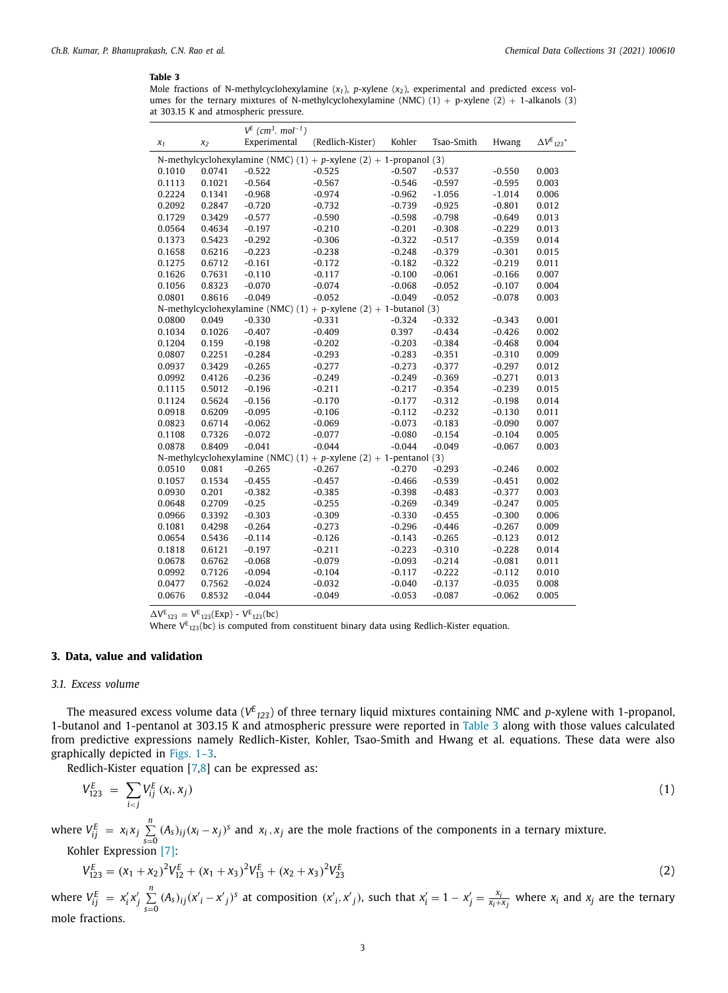Mole fractions of N-methylcyclohexylamine (*x1*), *p*-xylene (*x*2), experimental and predicted excess volumes for the ternary mixtures of N-methylcyclohexylamine (NMC)  $(1) + p$ -xylene  $(2) + 1$ -alkanols  $(3)$ at 303.15 K and atmospheric pressure.

| Experimental<br>(Redlich-Kister)<br>Kohler<br>Tsao-Smith<br>Hwang<br>$x_1$<br>x <sub>2</sub> | $\Delta V^E$ <sub>123</sub> * |  |  |  |  |  |  |
|----------------------------------------------------------------------------------------------|-------------------------------|--|--|--|--|--|--|
| N-methylcyclohexylamine (NMC) $(1) + p$ -xylene $(2) + 1$ -propanol $(3)$                    |                               |  |  |  |  |  |  |
| 0.0741<br>$-0.522$<br>$-0.525$<br>$-0.507$<br>$-0.537$<br>0.1010<br>$-0.550$                 | 0.003                         |  |  |  |  |  |  |
| 0.1113<br>0.1021<br>$-0.564$<br>$-0.567$<br>$-0.546$<br>$-0.597$<br>$-0.595$                 | 0.003                         |  |  |  |  |  |  |
| 0.2224<br>$-0.968$<br>$-1.056$<br>0.1341<br>$-0.974$<br>$-0.962$<br>$-1.014$                 | 0.006                         |  |  |  |  |  |  |
| $-0.925$<br>0.2092<br>0.2847<br>$-0.720$<br>$-0.732$<br>$-0.739$<br>$-0.801$                 | 0.012                         |  |  |  |  |  |  |
| 0.1729<br>0.3429<br>$-0.577$<br>$-0.598$<br>$-0.798$<br>$-0.590$<br>$-0.649$                 | 0.013                         |  |  |  |  |  |  |
| 0.0564<br>0.4634<br>$-0.197$<br>$-0.210$<br>$-0.201$<br>$-0.308$<br>$-0.229$                 | 0.013                         |  |  |  |  |  |  |
| $-0.292$<br>$-0.322$<br>$-0.517$<br>0.1373<br>0.5423<br>$-0.306$<br>$-0.359$                 | 0.014                         |  |  |  |  |  |  |
| $-0.223$<br>$-0.248$<br>$-0.379$<br>0.1658<br>0.6216<br>$-0.238$<br>$-0.301$                 | 0.015                         |  |  |  |  |  |  |
| 0.1275<br>0.6712<br>$-0.161$<br>$-0.172$<br>$-0.182$<br>$-0.322$<br>$-0.219$                 | 0.011                         |  |  |  |  |  |  |
| $-0.061$<br>0.1626<br>0.7631<br>$-0.110$<br>$-0.117$<br>$-0.100$<br>$-0.166$                 | 0.007                         |  |  |  |  |  |  |
| $-0.070$<br>0.1056<br>0.8323<br>$-0.074$<br>$-0.068$<br>$-0.052$<br>$-0.107$                 | 0.004                         |  |  |  |  |  |  |
| 0.0801<br>0.8616<br>$-0.049$<br>$-0.052$<br>$-0.049$<br>$-0.052$<br>$-0.078$                 | 0.003                         |  |  |  |  |  |  |
| N-methylcyclohexylamine (NMC) $(1) + p$ -xylene $(2) + 1$ -butanol $(3)$                     |                               |  |  |  |  |  |  |
| 0.0800<br>0.049<br>$-0.330$<br>$-0.331$<br>$-0.324$<br>$-0.332$<br>$-0.343$                  | 0.001                         |  |  |  |  |  |  |
| 0.1026<br>$-0.407$<br>0.397<br>$-0.434$<br>0.1034<br>$-0.409$<br>$-0.426$                    | 0.002                         |  |  |  |  |  |  |
| $-0.384$<br>0.1204<br>0.159<br>$-0.198$<br>$-0.202$<br>$-0.203$<br>$-0.468$                  | 0.004                         |  |  |  |  |  |  |
| $-0.351$<br>0.0807<br>0.2251<br>$-0.284$<br>$-0.293$<br>$-0.283$<br>$-0.310$                 | 0.009                         |  |  |  |  |  |  |
| $-0.265$<br>$-0.377$<br>0.0937<br>0.3429<br>$-0.277$<br>$-0.273$<br>$-0.297$                 | 0.012                         |  |  |  |  |  |  |
| $-0.236$<br>$-0.369$<br>0.0992<br>0.4126<br>$-0.249$<br>$-0.249$<br>$-0.271$                 | 0.013                         |  |  |  |  |  |  |
| 0.1115<br>0.5012<br>$-0.196$<br>$-0.211$<br>$-0.217$<br>$-0.354$<br>$-0.239$                 | 0.015                         |  |  |  |  |  |  |
| 0.5624<br>$-0.156$<br>$-0.170$<br>$-0.177$<br>$-0.312$<br>0.1124<br>$-0.198$                 | 0.014                         |  |  |  |  |  |  |
| 0.0918<br>0.6209<br>$-0.095$<br>$-0.112$<br>$-0.232$<br>$-0.106$<br>$-0.130$                 | 0.011                         |  |  |  |  |  |  |
| 0.6714<br>$-0.062$<br>$-0.073$<br>$-0.183$<br>0.0823<br>$-0.069$<br>$-0.090$                 | 0.007                         |  |  |  |  |  |  |
| $-0.072$<br>0.1108<br>0.7326<br>$-0.077$<br>$-0.080$<br>$-0.154$<br>$-0.104$                 | 0.005                         |  |  |  |  |  |  |
| 0.8409<br>$-0.041$<br>$-0.044$<br>$-0.044$<br>$-0.049$<br>0.0878<br>$-0.067$                 | 0.003                         |  |  |  |  |  |  |
| N-methylcyclohexylamine (NMC) $(1) + p$ -xylene $(2) + 1$ -pentanol $(3)$                    |                               |  |  |  |  |  |  |
| 0.081<br>$-0.265$<br>$-0.267$<br>$-0.270$<br>$-0.293$<br>0.0510<br>$-0.246$                  | 0.002                         |  |  |  |  |  |  |
| 0.1057<br>0.1534<br>$-0.455$<br>$-0.457$<br>$-0.466$<br>$-0.539$<br>$-0.451$                 | 0.002                         |  |  |  |  |  |  |
| 0.201<br>$-0.382$<br>$-0.385$<br>$-0.398$<br>$-0.483$<br>$-0.377$<br>0.0930                  | 0.003                         |  |  |  |  |  |  |
| $-0.25$<br>$-0.349$<br>0.0648<br>0.2709<br>$-0.255$<br>$-0.269$<br>$-0.247$                  | 0.005                         |  |  |  |  |  |  |
| 0.0966<br>0.3392<br>$-0.303$<br>$-0.309$<br>$-0.330$<br>$-0.455$<br>$-0.300$                 | 0.006                         |  |  |  |  |  |  |
| 0.4298<br>$-0.264$<br>$-0.273$<br>$-0.296$<br>$-0.446$<br>0.1081<br>$-0.267$                 | 0.009                         |  |  |  |  |  |  |
| 0.5436<br>$-0.114$<br>$-0.126$<br>$-0.265$<br>0.0654<br>$-0.143$<br>$-0.123$                 | 0.012                         |  |  |  |  |  |  |
| 0.1818<br>0.6121<br>$-0.197$<br>$-0.211$<br>$-0.223$<br>$-0.310$<br>$-0.228$                 | 0.014                         |  |  |  |  |  |  |
| 0.0678<br>0.6762<br>$-0.068$<br>$-0.079$<br>$-0.093$<br>$-0.214$<br>$-0.081$                 | 0.011                         |  |  |  |  |  |  |
| $-0.094$<br>$-0.222$<br>0.0992<br>0.7126<br>$-0.104$<br>$-0.117$<br>$-0.112$                 | 0.010                         |  |  |  |  |  |  |
| $-0.024$<br>0.0477<br>0.7562<br>$-0.032$<br>$-0.040$<br>$-0.137$<br>$-0.035$                 | 0.008                         |  |  |  |  |  |  |
| 0.0676<br>0.8532<br>$-0.044$<br>$-0.087$<br>$-0.049$<br>$-0.053$<br>$-0.062$                 | 0.005                         |  |  |  |  |  |  |

 $\Delta V^E_{123} = V^E_{123}(Exp) - V^E_{123}(bc)$ 

Where  $V_{123}$ (bc) is computed from constituent binary data using Redlich-Kister equation.

## **3. Data, value and validation**

#### *3.1. Excess volume*

The measured excess volume data ( $V^E{}_{I23}$ ) of three ternary liquid mixtures containing NMC and *p*-xylene with 1-propanol, 1-butanol and 1-pentanol at 303.15 K and atmospheric pressure were reported in Table 3 along with those values calculated from predictive expressions namely Redlich-Kister, Kohler, Tsao-Smith and Hwang et al. equations. These data were also graphically depicted in Figs. 1–3.

Redlich-Kister equation [7,8] can be expressed as:

$$
V_{123}^E = \sum_{i < j} V_{ij}^E \left( x_i, x_j \right) \tag{1}
$$

where  $V_{ij}^E = x_i x_j \sum_{s=0}^n (A_s)_{ij} (x_i - x_j)^s$  and  $x_i, x_j$  are the mole fractions of the components in a ternary mixture. Kohler Expression [7]:

$$
V_{123}^E = (x_1 + x_2)^2 V_{12}^E + (x_1 + x_3)^2 V_{13}^E + (x_2 + x_3)^2 V_{23}^E
$$
\n(2)

where  $V_{ij}^E = x_i' x_j' \sum_{s=0}^n (A_s)_{ij} (x_i' - x_j')^s$  at composition  $(x_i', x_j')$ , such that  $x_i' = 1 - x_j' = \frac{x_i}{x_i + x_j}$  where  $x_i$  and  $x_j$  are the ternary mole fractions.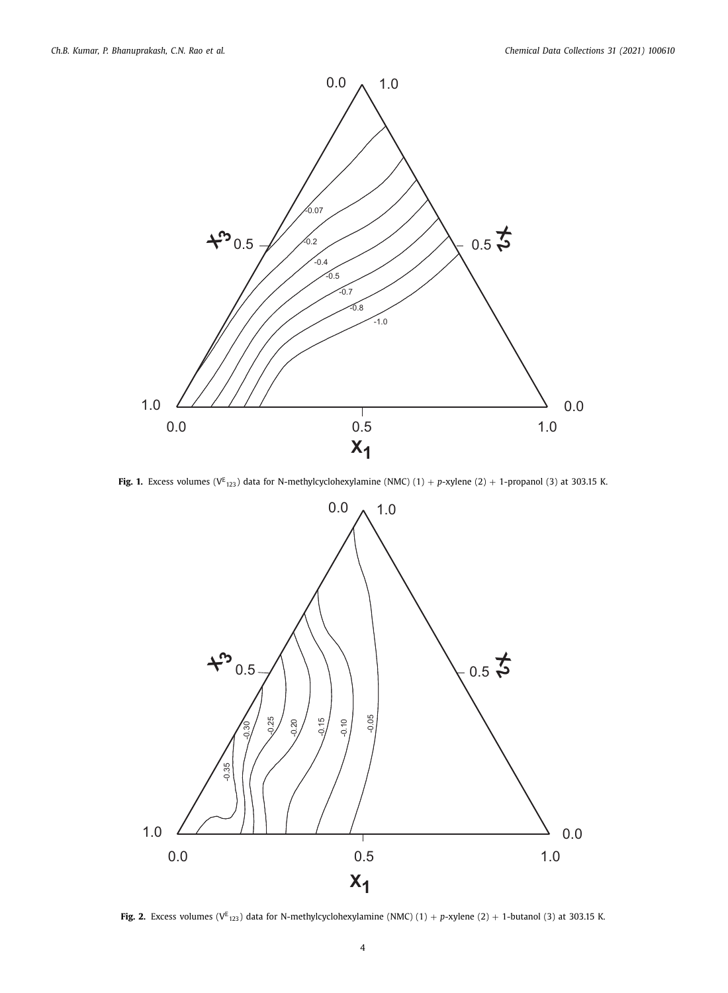

**Fig. 1.** Excess volumes (V<sup>E</sup><sub>123</sub>) data for N-methylcyclohexylamine (NMC) (1) + *p*-xylene (2) + 1-propanol (3) at 303.15 K.



**Fig. 2.** Excess volumes ( $V^{E}$ <sub>123</sub>) data for N-methylcyclohexylamine (NMC) (1) + *p*-xylene (2) + 1-butanol (3) at 303.15 K.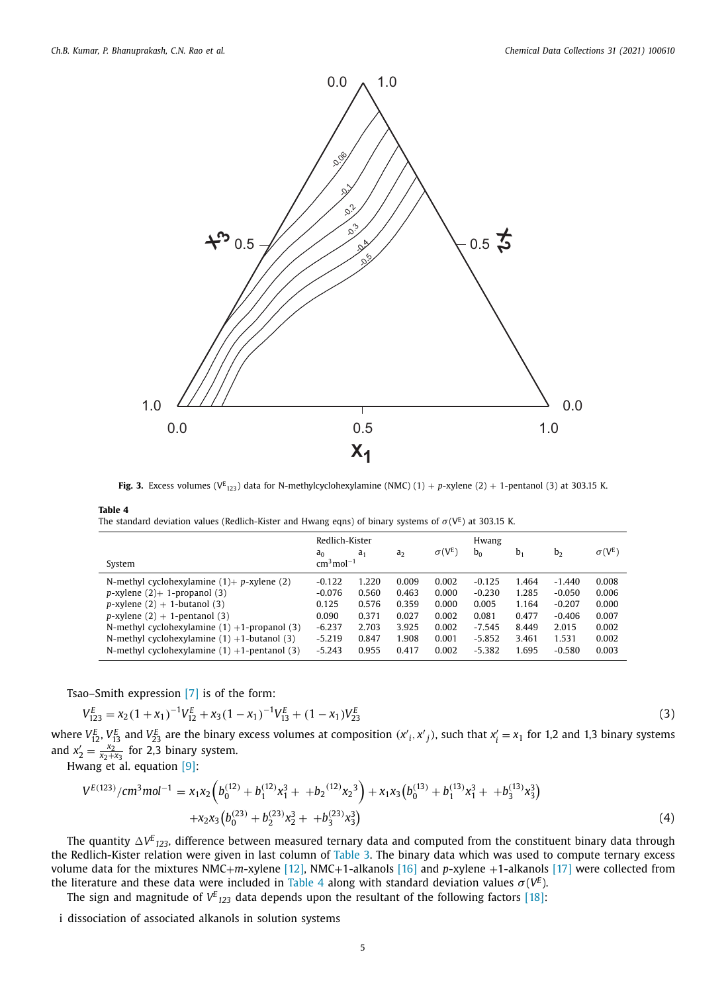

**Fig. 3.** Excess volumes (V<sup>E</sup><sub>123</sub>) data for N-methylcyclohexylamine (NMC) (1) + *p*-xylene (2) + 1-pentanol (3) at 303.15 K.

The standard deviation values (Redlich-Kister and Hwang eqns) of binary systems of  $\sigma({\tt V}^{\tt E})$  at 303.15 K.

|                                                    | Redlich-Kister          |                |                | Hwang         |                |       |                |               |
|----------------------------------------------------|-------------------------|----------------|----------------|---------------|----------------|-------|----------------|---------------|
| System                                             | an<br>$cm3$ mol $^{-1}$ | a <sub>1</sub> | a <sub>2</sub> | $\sigma(V^E)$ | b <sub>0</sub> | $b_1$ | b <sub>2</sub> | $\sigma(V^E)$ |
| N-methyl cyclohexylamine $(1)$ + p-xylene $(2)$    | $-0.122$                | 1.220          | 0.009          | 0.002         | $-0.125$       | 1.464 | $-1.440$       | 0.008         |
| $p$ -xylene $(2)$ + 1-propanol $(3)$               | $-0.076$                | 0.560          | 0.463          | 0.000         | $-0.230$       | 1.285 | $-0.050$       | 0.006         |
| $p$ -xylene (2) + 1-butanol (3)                    | 0.125                   | 0.576          | 0.359          | 0.000         | 0.005          | 1.164 | $-0.207$       | 0.000         |
| $p$ -xylene (2) + 1-pentanol (3)                   | 0.090                   | 0.371          | 0.027          | 0.002         | 0.081          | 0.477 | $-0.406$       | 0.007         |
| N-methyl cyclohexylamine $(1) + 1$ -propanol $(3)$ | $-6.237$                | 2.703          | 3.925          | 0.002         | $-7.545$       | 8.449 | 2.015          | 0.002         |
| N-methyl cyclohexylamine $(1) + 1$ -butanol $(3)$  | $-5.219$                | 0.847          | 1.908          | 0.001         | $-5.852$       | 3.461 | 1.531          | 0.002         |
| N-methyl cyclohexylamine $(1) + 1$ -pentanol $(3)$ | $-5.243$                | 0.955          | 0.417          | 0.002         | $-5.382$       | 1.695 | $-0.580$       | 0.003         |

Tsao–Smith expression [7] is of the form:

$$
V_{123}^{E} = x_2(1+x_1)^{-1}V_{12}^{E} + x_3(1-x_1)^{-1}V_{13}^{E} + (1-x_1)V_{23}^{E}
$$
\n(3)

where  $V_{12}^E$ ,  $V_{13}^E$  and  $V_{23}^E$  are the binary excess volumes at composition  $(x'_i, x'_j)$ , such that  $x'_i = x_1$  for 1,2 and 1,3 binary systems and  $x_2' = \frac{x_2^3}{x_2 + x_3}$  for 2,3 binary system.

Hwang et al. equation [9]:

$$
V^{E(123)}/cm^3mol^{-1} = x_1x_2 \left(b_0^{(12)} + b_1^{(12)}x_1^3 + b_2^{(12)}x_2^3\right) + x_1x_3\left(b_0^{(13)} + b_1^{(13)}x_1^3 + b_3^{(13)}x_3^3\right) + x_2x_3\left(b_0^{(23)} + b_2^{(23)}x_2^3 + b_3^{(23)}x_3^3\right)
$$
\n(4)

The quantity  $\Delta V^{\rm E}{}_{123}$ , difference between measured ternary data and computed from the constituent binary data through the Redlich-Kister relation were given in last column of Table 3. The binary data which was used to compute ternary excess volume data for the mixtures NMC+*m*-xylene [12], NMC+1-alkanols [16] and *p*-xylene +1-alkanols [17] were collected from the literature and these data were included in Table 4 along with standard deviation values  $\sigma(V^E)$ .

The sign and magnitude of  $V^E{}_{123}$  data depends upon the resultant of the following factors [18]:

i dissociation of associated alkanols in solution systems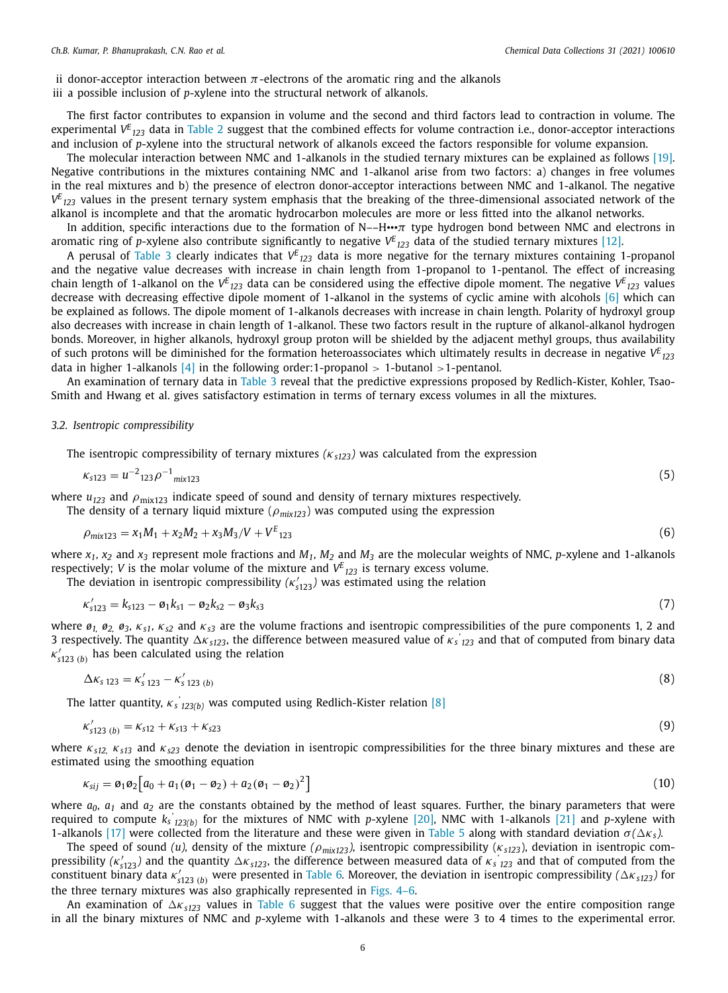ii donor-acceptor interaction between  $\pi$ -electrons of the aromatic ring and the alkanols

iii a possible inclusion of *p*-xylene into the structural network of alkanols.

The first factor contributes to expansion in volume and the second and third factors lead to contraction in volume. The experimental  $V^E_{123}$  data in Table 2 suggest that the combined effects for volume contraction i.e., donor-acceptor interactions and inclusion of *p*-xylene into the structural network of alkanols exceed the factors responsible for volume expansion.

The molecular interaction between NMC and 1-alkanols in the studied ternary mixtures can be explained as follows [19]. Negative contributions in the mixtures containing NMC and 1-alkanol arise from two factors: a) changes in free volumes in the real mixtures and b) the presence of electron donor-acceptor interactions between NMC and 1-alkanol. The negative *V E <sup>123</sup>* values in the present ternary system emphasis that the breaking of the three-dimensional associated network of the alkanol is incomplete and that the aromatic hydrocarbon molecules are more or less fitted into the alkanol networks.

In addition, specific interactions due to the formation of N––H•••π type hydrogen bond between NMC and electrons in aromatic ring of *p*-xylene also contribute significantly to negative  $V^E{}_{123}$  data of the studied ternary mixtures [12].

A perusal of Table 3 clearly indicates that  $V^E{}_{123}$  data is more negative for the ternary mixtures containing 1-propanol and the negative value decreases with increase in chain length from 1-propanol to 1-pentanol. The effect of increasing chain length of 1-alkanol on the  $V^E{}_{123}$  data can be considered using the effective dipole moment. The negative  $V^E{}_{123}$  values decrease with decreasing effective dipole moment of 1-alkanol in the systems of cyclic amine with alcohols [6] which can be explained as follows. The dipole moment of 1-alkanols decreases with increase in chain length. Polarity of hydroxyl group also decreases with increase in chain length of 1-alkanol. These two factors result in the rupture of alkanol-alkanol hydrogen bonds. Moreover, in higher alkanols, hydroxyl group proton will be shielded by the adjacent methyl groups, thus availability of such protons will be diminished for the formation heteroassociates which ultimately results in decrease in negative  $V^E_{123}$ data in higher 1-alkanols  $[4]$  in the following order:1-propanol > 1-butanol >1-pentanol.

An examination of ternary data in Table 3 reveal that the predictive expressions proposed by Redlich-Kister, Kohler, Tsao-Smith and Hwang et al. gives satisfactory estimation in terms of ternary excess volumes in all the mixtures.

#### *3.2. Isentropic compressibility*

The isentropic compressibility of ternary mixtures  $(\kappa_{s123})$  was calculated from the expression

$$
\kappa_{s123} = u^{-2}{}_{123}\rho^{-1}{}_{mix123} \tag{5}
$$

where  $u_{123}$  and  $\rho_{\text{mix123}}$  indicate speed of sound and density of ternary mixtures respectively. The density of a ternary liquid mixture ( $\rho_{mix123}$ ) was computed using the expression

$$
\rho_{\text{mix123}} = x_1 M_1 + x_2 M_2 + x_3 M_3 / V + V^E_{123} \tag{6}
$$

where  $x_1$ ,  $x_2$  and  $x_3$  represent mole fractions and  $M_1$ ,  $M_2$  and  $M_3$  are the molecular weights of NMC, p-xylene and 1-alkanols respectively; *V* is the molar volume of the mixture and *V E <sup>123</sup>* is ternary excess volume.

The deviation in isentropic compressibility  $(\kappa'_{s123})$  was estimated using the relation

$$
\kappa'_{s123} = k_{s123} - \mathfrak{a}_1 k_{s1} - \mathfrak{a}_2 k_{s2} - \mathfrak{a}_3 k_{s3} \tag{7}
$$

where  $\varphi_1$ ,  $\varphi_2$ ,  $\varphi_3$ ,  $\kappa_{s1}$ ,  $\kappa_{s2}$  and  $\kappa_{s3}$  are the volume fractions and isentropic compressibilities of the pure components 1, 2 and 3 respectively. The quantity κ*s123*, the difference between measured value of κ*<sup>s</sup> ' <sup>123</sup>* and that of computed from binary data  $\kappa'_{s123}$  (*b*) has been calculated using the relation

$$
\Delta \kappa_{s\,123} = \kappa'_{s\,123} - \kappa'_{s\,123\,(b)}\tag{8}
$$

The latter quantity, κ*<sup>s</sup> ' 123(b)* was computed using Redlich-Kister relation [8]

$$
\kappa'_{s123\ (b)} = \kappa_{s12} + \kappa_{s13} + \kappa_{s23} \tag{9}
$$

where κ*s12,* κ*s13* and κ*s23* denote the deviation in isentropic compressibilities for the three binary mixtures and these are estimated using the smoothing equation

$$
\kappa_{sij} = \varpi_1 \varpi_2 \Big[ a_0 + a_1 (\varpi_1 - \varpi_2) + a_2 (\varpi_1 - \varpi_2)^2 \Big] \tag{10}
$$

where  $a_0$ ,  $a_1$  and  $a_2$  are the constants obtained by the method of least squares. Further, the binary parameters that were required to compute *k<sup>s</sup> ' 123(b)* for the mixtures of NMC with *p*-xylene [20], NMC with 1-alkanols [21] and *p*-xylene with 1-alkanols [17] were collected from the literature and these were given in Table 5 along with standard deviation  $\sigma(\Delta\kappa_s)$ .

The speed of sound *(u),* density of the mixture *(*ρ*mix123),* isentropic compressibility (κ*s123*), deviation in isentropic compressibility  $(\kappa'_{s123})$  and the quantity  $\Delta \kappa_{s123}$ , the difference between measured data of  $\kappa_s$   $_{123}$  and that of computed from the constituent binary data  $\kappa'_{s123}$  (*b*) were presented in Table 6. Moreover, the deviation in isentropic compressibility ( $\Delta \kappa_{s123}$ ) for the three ternary mixtures was also graphically represented in Figs. 4–6.

An examination of  $\Delta\kappa_{s123}$  values in Table 6 suggest that the values were positive over the entire composition range in all the binary mixtures of NMC and *p*-xyleme with 1-alkanols and these were 3 to 4 times to the experimental error.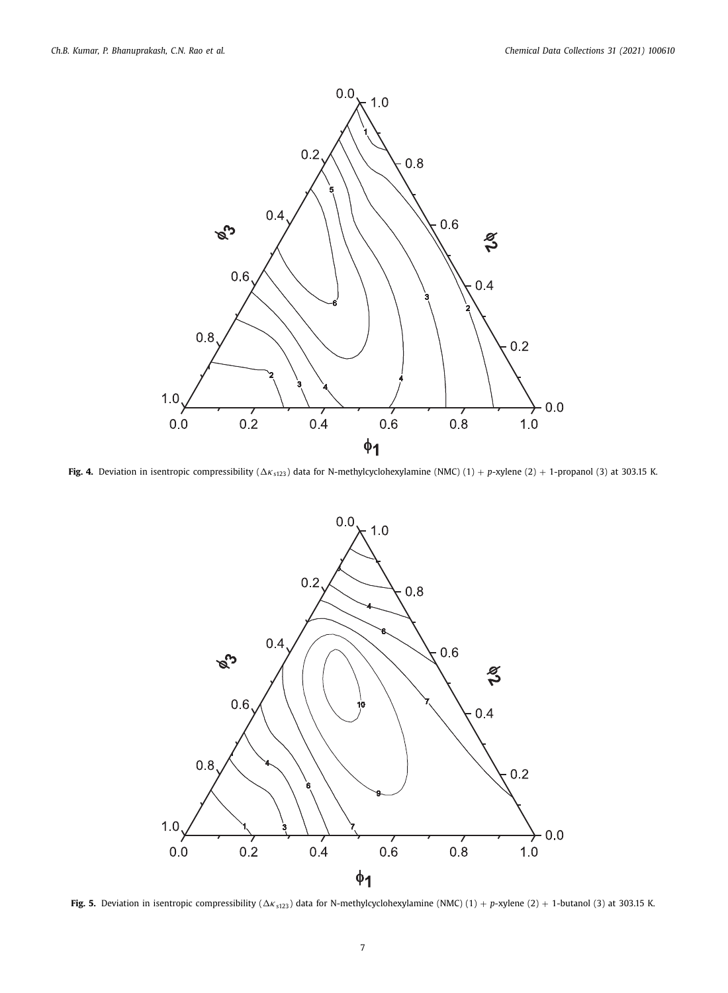

**Fig. 4.** Deviation in isentropic compressibility ( $\Delta K_{s123}$ ) data for N-methylcyclohexylamine (NMC) (1) + *p*-xylene (2) + 1-propanol (3) at 303.15 K.



**Fig. 5.** Deviation in isentropic compressibility ( $\Delta K_{s123}$ ) data for N-methylcyclohexylamine (NMC) (1) + *p*-xylene (2) + 1-butanol (3) at 303.15 K.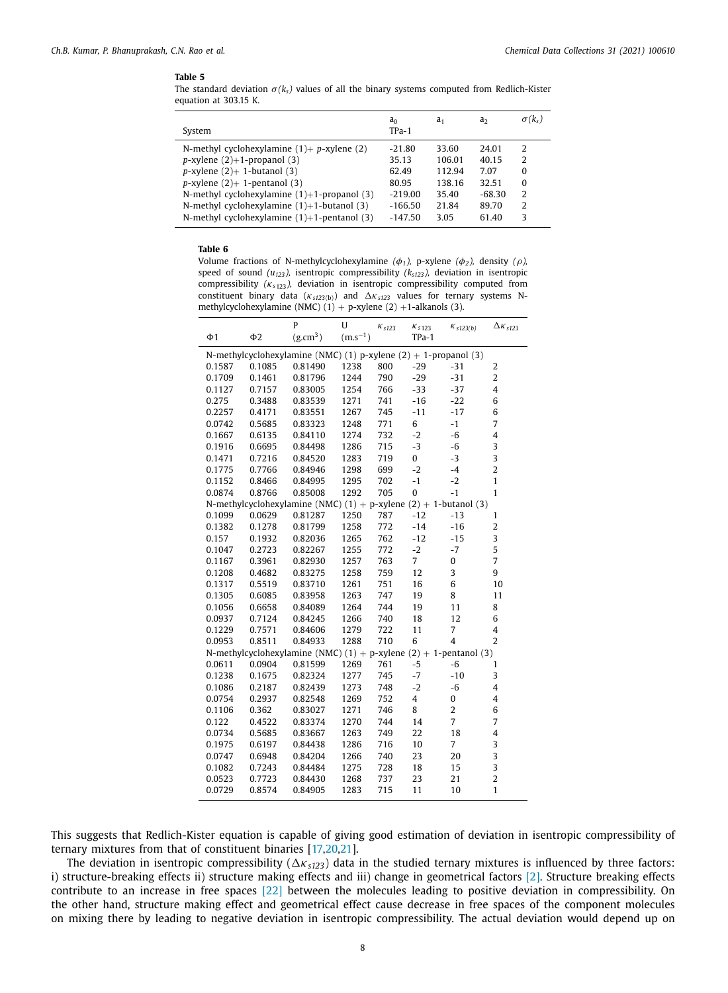The standard deviation  $\sigma(k_s)$  values of all the binary systems computed from Redlich-Kister equation at 303.15 K.

| System                                           | a <sub>0</sub><br>$TPa-1$ | a <sub>1</sub> | aэ       | $\sigma(k_{s})$ |
|--------------------------------------------------|---------------------------|----------------|----------|-----------------|
| N-methyl cyclohexylamine $(1)$ + p-xylene $(2)$  | $-21.80$                  | 33.60          | 24.01    | 2               |
| $p$ -xylene $(2)+1$ -propanol $(3)$              | 35.13                     | 106.01         | 40.15    | 2               |
| $p$ -xylene (2)+ 1-butanol (3)                   | 62.49                     | 112.94         | 7.07     | 0               |
| $p$ -xylene $(2)$ + 1-pentanol $(3)$             | 80.95                     | 138.16         | 32.51    | 0               |
| N-methyl cyclohexylamine $(1)+1$ -propanol $(3)$ | $-219.00$                 | 35.40          | $-68.30$ | 2               |
| N-methyl cyclohexylamine $(1)+1$ -butanol $(3)$  | $-166.50$                 | 21.84          | 89.70    | 2               |
| N-methyl cyclohexylamine $(1)+1$ -pentanol $(3)$ | $-147.50$                 | 3.05           | 61.40    | 3               |

#### **Table 6**

Volume fractions of N-methylcyclohexylamine  $(\phi_1)$ , p-xylene  $(\phi_2)$ , density  $(\rho)$ , speed of sound *(u123),* isentropic compressibility *(ks123),* deviation in isentropic compressibility *(*κ*<sup>s</sup>*123*),* deviation in isentropic compressibility computed from constituent binary data ( $\kappa_{s123(b)}$ ) and  $\Delta \kappa_{s123}$  values for ternary systems Nmethylcyclohexylamine (NMC)  $(1)$  + p-xylene (2) +1-alkanols (3).

|                                                                 |                     | P                                                                         | U            | $K_{S123}$ | $K_{s123}$              | $K_{s123(b)}$  | $\Delta\kappa_{s123}$ |
|-----------------------------------------------------------------|---------------------|---------------------------------------------------------------------------|--------------|------------|-------------------------|----------------|-----------------------|
| Ф1                                                              | $\Phi$ <sub>2</sub> | (g.cm <sup>3</sup> )                                                      | $(m.s^{-1})$ |            | TPa-1                   |                |                       |
| N-methylcyclohexylamine (NMC) (1) p-xylene (2) + 1-propanol (3) |                     |                                                                           |              |            |                         |                |                       |
| 0.1587                                                          | 0.1085              | 0.81490                                                                   | 1238         | 800        | $-29$                   | $-31$          | $\overline{2}$        |
| 0.1709                                                          | 0.1461              | 0.81796                                                                   | 1244         | 790        | $-29$                   | $-31$          | $\overline{2}$        |
| 0.1127                                                          | 0.7157              | 0.83005                                                                   | 1254         | 766        | $-33$                   | $-37$          | 4                     |
| 0.275                                                           | 0.3488              | 0.83539                                                                   | 1271         | 741        | $-16$                   | $-22$          | 6                     |
| 0.2257                                                          | 0.4171              | 0.83551                                                                   | 1267         | 745        | $-11$                   | $-17$          | 6                     |
| 0.0742                                                          | 0.5685              | 0.83323                                                                   | 1248         | 771        | 6                       | $-1$           | 7                     |
| 0.1667                                                          | 0.6135              | 0.84110                                                                   | 1274         | 732        | $-2$                    | -6             | $\overline{4}$        |
| 0.1916                                                          | 0.6695              | 0.84498                                                                   | 1286         | 715        | $-3$                    | $-6$           | 3                     |
| 0.1471                                                          | 0.7216              | 0.84520                                                                   | 1283         | 719        | 0                       | $-3$           | 3                     |
| 0.1775                                                          | 0.7766              | 0.84946                                                                   | 1298         | 699        | $-2$                    | $-4$           | $\overline{2}$        |
| 0.1152                                                          | 0.8466              | 0.84995                                                                   | 1295         | 702        | $-1$                    | $-2$           | $\mathbf{1}$          |
| 0.0874                                                          | 0.8766              | 0.85008                                                                   | 1292         | 705        | $\bf{0}$                | $-1$           | 1                     |
|                                                                 |                     | N-methylcyclohexylamine (NMC) $(1) + p$ -xylene $(2) + 1$ -butanol $(3)$  |              |            |                         |                |                       |
| 0.1099                                                          | 0.0629              | 0.81287                                                                   | 1250         | 787        | $-12$                   | $-13$          | $\mathbf{1}$          |
| 0.1382                                                          | 0.1278              | 0.81799                                                                   | 1258         | 772        | $-14$                   | $-16$          | $\overline{2}$        |
| 0.157                                                           | 0.1932              | 0.82036                                                                   | 1265         | 762        | $-12$                   | $-15$          | 3                     |
| 0.1047                                                          | 0.2723              | 0.82267                                                                   | 1255         | 772        | $-2$                    | $-7$           | 5                     |
| 0.1167                                                          | 0.3961              | 0.82930                                                                   | 1257         | 763        | $\overline{7}$          | 0              | $\overline{7}$        |
| 0.1208                                                          | 0.4682              | 0.83275                                                                   | 1258         | 759        | 12                      | 3              | 9                     |
| 0.1317                                                          | 0.5519              | 0.83710                                                                   | 1261         | 751        | 16                      | 6              | 10                    |
| 0.1305                                                          | 0.6085              | 0.83958                                                                   | 1263         | 747        | 19                      | 8              | 11                    |
| 0.1056                                                          | 0.6658              | 0.84089                                                                   | 1264         | 744        | 19                      | 11             | 8                     |
| 0.0937                                                          | 0.7124              | 0.84245                                                                   | 1266         | 740        | 18                      | 12             | 6                     |
| 0.1229                                                          | 0.7571              | 0.84606                                                                   | 1279         | 722        | 11                      | 7              | 4                     |
| 0.0953                                                          | 0.8511              | 0.84933                                                                   | 1288         | 710        | 6                       | $\overline{4}$ | $\overline{2}$        |
|                                                                 |                     | N-methylcyclohexylamine (NMC) $(1) + p$ -xylene $(2) + 1$ -pentanol $(3)$ |              |            |                         |                |                       |
| 0.0611                                                          | 0.0904              | 0.81599                                                                   | 1269         | 761        | $-5$                    | -6             | 1                     |
| 0.1238                                                          | 0.1675              | 0.82324                                                                   | 1277         | 745        | $-7$                    | $-10$          | 3                     |
| 0.1086                                                          | 0.2187              | 0.82439                                                                   | 1273         | 748        | $-2$                    | $-6$           | $\overline{4}$        |
| 0.0754                                                          | 0.2937              | 0.82548                                                                   | 1269         | 752        | $\overline{\mathbf{4}}$ | $\bf{0}$       | $\overline{4}$        |
| 0.1106                                                          | 0.362               | 0.83027                                                                   | 1271         | 746        | 8                       | $\overline{2}$ | 6                     |
| 0.122                                                           | 0.4522              | 0.83374                                                                   | 1270         | 744        | 14                      | $\overline{7}$ | $\overline{7}$        |
| 0.0734                                                          | 0.5685              | 0.83667                                                                   | 1263         | 749        | 22                      | 18             | $\overline{4}$        |
| 0.1975                                                          | 0.6197              | 0.84438                                                                   | 1286         | 716        | 10                      | $\overline{7}$ | 3                     |
| 0.0747                                                          | 0.6948              | 0.84204                                                                   | 1266         | 740        | 23                      | 20             | 3                     |
| 0.1082                                                          | 0.7243              | 0.84484                                                                   | 1275         | 728        | 18                      | 15             | 3                     |
| 0.0523                                                          | 0.7723              | 0.84430                                                                   | 1268         | 737        | 23                      | 21             | $\overline{2}$        |
| 0.0729                                                          | 0.8574              | 0.84905                                                                   | 1283         | 715        | 11                      | 10             | 1                     |

This suggests that Redlich-Kister equation is capable of giving good estimation of deviation in isentropic compressibility of ternary mixtures from that of constituent binaries [17,20,21].

The deviation in isentropic compressibility ( $\Delta \kappa_{s123}$ ) data in the studied ternary mixtures is influenced by three factors: i) structure-breaking effects ii) structure making effects and iii) change in geometrical factors [2]. Structure breaking effects contribute to an increase in free spaces [22] between the molecules leading to positive deviation in compressibility. On the other hand, structure making effect and geometrical effect cause decrease in free spaces of the component molecules on mixing there by leading to negative deviation in isentropic compressibility. The actual deviation would depend up on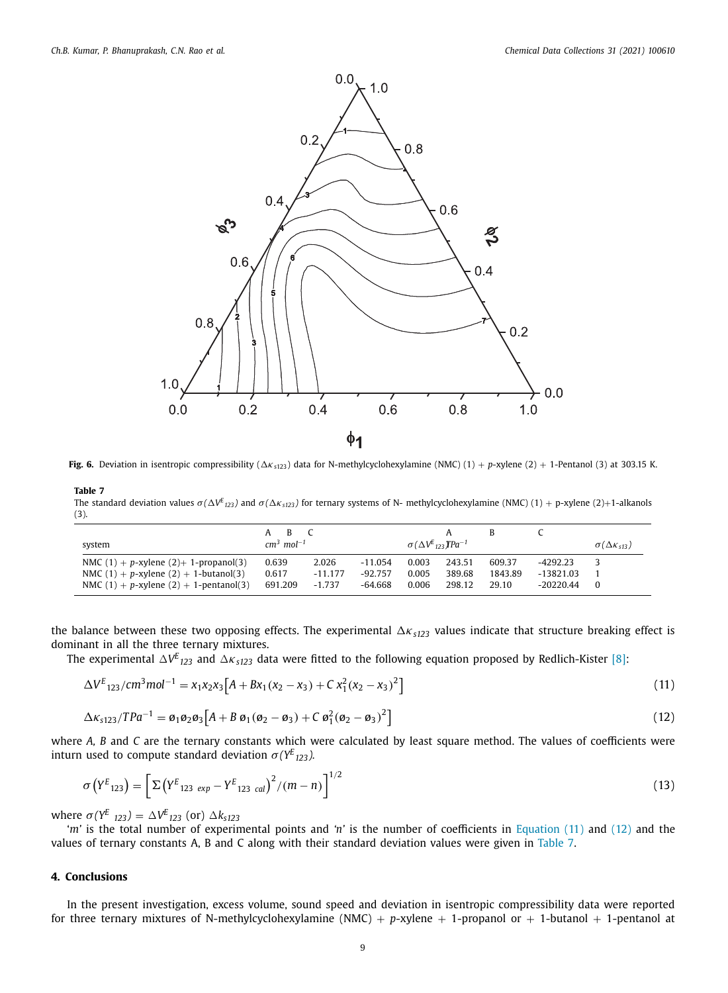

**Fig. 6.** Deviation in isentropic compressibility ( $\Delta K_{5123}$ ) data for N-methylcyclohexylamine (NMC) (1) + *p*-xylene (2) + 1-Pentanol (3) at 303.15 K.

The standard deviation values  $\sigma(\Delta V^E{}_{123})$  and  $\sigma(\Delta\kappa_{s123})$  for ternary systems of N- methylcyclohexylamine (NMC) (1) + p-xylene (2)+1-alkanols (3).

| system                                          | A B<br>$cm3$ mol <sup>-1</sup> |           |           | $\sigma(\Delta V^E_{122} \text{ T} \text{Pa}^{-1})$ |        | B       |             | $\sigma(\Delta K_{s13})$ |
|-------------------------------------------------|--------------------------------|-----------|-----------|-----------------------------------------------------|--------|---------|-------------|--------------------------|
| NMC $(1) + p$ -xylene $(2) + 1$ -propanol $(3)$ | 0.639                          | 2.026     | -11.054   | 0.003                                               | 243.51 | 609.37  | -4292.23    |                          |
| NMC $(1) + p$ -xylene $(2) + 1$ -butanol $(3)$  | 0.617                          | $-11.177$ | $-92.757$ | 0.005                                               | 389.68 | 1843.89 | $-13821.03$ |                          |
| NMC $(1) + p$ -xylene $(2) + 1$ -pentanol $(3)$ | 691.209                        | $-1.737$  | -64.668   | 0.006                                               | 298.12 | 29.10   | $-20220.44$ | $\Omega$                 |

the balance between these two opposing effects. The experimental  $\Delta K_{s123}$  values indicate that structure breaking effect is dominant in all the three ternary mixtures.

The experimental  $\Delta V^E_{123}$  and  $\Delta\kappa_{s123}$  data were fitted to the following equation proposed by Redlich-Kister [8]:

$$
\Delta V^{E}_{123}/cm^{3}mol^{-1} = x_{1}x_{2}x_{3}\left[A + Bx_{1}(x_{2} - x_{3}) + C x_{1}^{2}(x_{2} - x_{3})^{2}\right]
$$
\n(11)

$$
\Delta \kappa_{s123}/TPa^{-1} = \varrho_1 \varrho_2 \varrho_3 \left[ A + B \varrho_1 (\varrho_2 - \varrho_3) + C \varrho_1^2 (\varrho_2 - \varrho_3)^2 \right]
$$
\n(12)

where *A, B* and *C* are the ternary constants which were calculated by least square method. The values of coefficients were inturn used to compute standard deviation  $\sigma(Y^E_{123})$ .

$$
\sigma\left(Y^{E}_{123}\right) = \left[\Sigma\left(Y^{E}_{123 \exp}-Y^{E}_{123 \text{ cal}}\right)^{2}/(m-n)\right]^{1/2}
$$
\n(13)

 $\text{where } \sigma(Y^E_{123}) = \Delta V^E_{123} \text{ (or) } \Delta k_{s123}$ 

'*m'* is the total number of experimental points and *'n'* is the number of coefficients in Equation (11) and (12) and the values of ternary constants A, B and C along with their standard deviation values were given in Table 7.

## **4. Conclusions**

In the present investigation, excess volume, sound speed and deviation in isentropic compressibility data were reported for three ternary mixtures of N-methylcyclohexylamine (NMC) +  $p$ -xylene + 1-propanol or + 1-butanol + 1-pentanol at